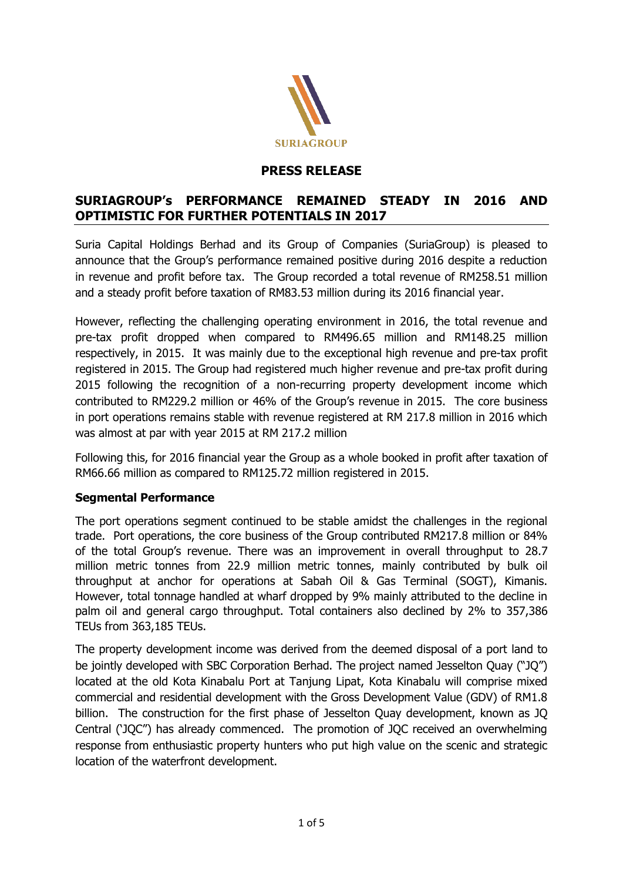

## **PRESS RELEASE**

## **SURIAGROUP's PERFORMANCE REMAINED STEADY IN 2016 AND OPTIMISTIC FOR FURTHER POTENTIALS IN 2017**

Suria Capital Holdings Berhad and its Group of Companies (SuriaGroup) is pleased to announce that the Group's performance remained positive during 2016 despite a reduction in revenue and profit before tax. The Group recorded a total revenue of RM258.51 million and a steady profit before taxation of RM83.53 million during its 2016 financial year.

However, reflecting the challenging operating environment in 2016, the total revenue and pre-tax profit dropped when compared to RM496.65 million and RM148.25 million respectively, in 2015. It was mainly due to the exceptional high revenue and pre-tax profit registered in 2015. The Group had registered much higher revenue and pre-tax profit during 2015 following the recognition of a non-recurring property development income which contributed to RM229.2 million or 46% of the Group's revenue in 2015. The core business in port operations remains stable with revenue registered at RM 217.8 million in 2016 which was almost at par with year 2015 at RM 217.2 million

Following this, for 2016 financial year the Group as a whole booked in profit after taxation of RM66.66 million as compared to RM125.72 million registered in 2015.

#### **Segmental Performance**

The port operations segment continued to be stable amidst the challenges in the regional trade. Port operations, the core business of the Group contributed RM217.8 million or 84% of the total Group's revenue. There was an improvement in overall throughput to 28.7 million metric tonnes from 22.9 million metric tonnes, mainly contributed by bulk oil throughput at anchor for operations at Sabah Oil & Gas Terminal (SOGT), Kimanis. However, total tonnage handled at wharf dropped by 9% mainly attributed to the decline in palm oil and general cargo throughput. Total containers also declined by 2% to 357,386 TEUs from 363,185 TEUs.

The property development income was derived from the deemed disposal of a port land to be jointly developed with SBC Corporation Berhad. The project named Jesselton Quay ("JQ") located at the old Kota Kinabalu Port at Tanjung Lipat, Kota Kinabalu will comprise mixed commercial and residential development with the Gross Development Value (GDV) of RM1.8 billion. The construction for the first phase of Jesselton Quay development, known as JQ Central ('JQC") has already commenced. The promotion of JQC received an overwhelming response from enthusiastic property hunters who put high value on the scenic and strategic location of the waterfront development.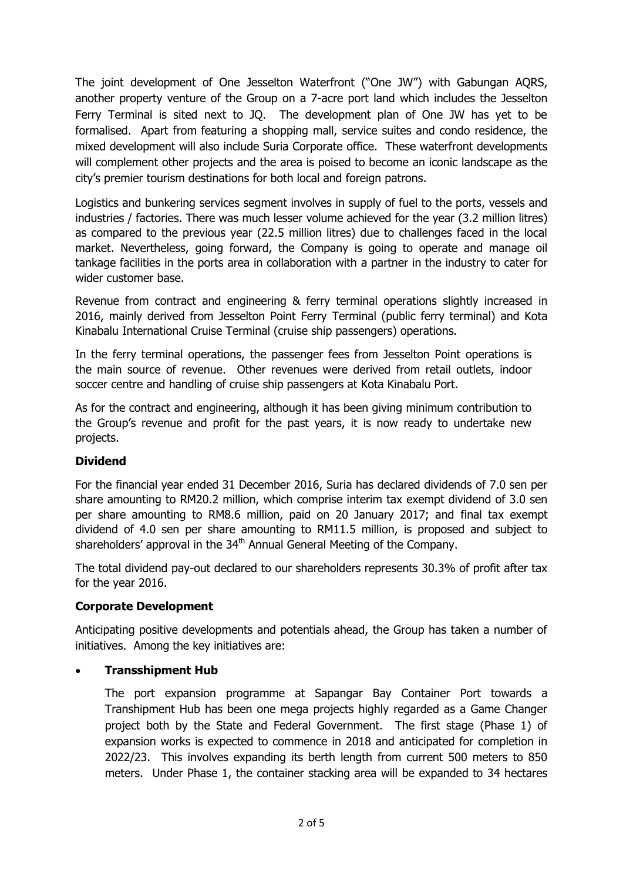The joint development of One Jesselton Waterfront ("One JW") with Gabungan AQRS, another property venture of the Group on a 7-acre port land which includes the Jesselton Ferry Terminal is sited next to JQ. The development plan of One JW has yet to be formalised. Apart from featuring a shopping mall, service suites and condo residence, the mixed development will also include Suria Corporate office. These waterfront developments will complement other projects and the area is poised to become an iconic landscape as the city's premier tourism destinations for both local and foreign patrons.

Logistics and bunkering services segment involves in supply of fuel to the ports, vessels and industries / factories. There was much lesser volume achieved for the year (3.2 million litres) as compared to the previous year (22.5 million litres) due to challenges faced in the local market. Nevertheless, going forward, the Company is going to operate and manage oil tankage facilities in the ports area in collaboration with a partner in the industry to cater for wider customer base.

Revenue from contract and engineering & ferry terminal operations slightly increased in 2016, mainly derived from Jesselton Point Ferry Terminal (public ferry terminal) and Kota Kinabalu International Cruise Terminal (cruise ship passengers) operations.

In the ferry terminal operations, the passenger fees from Jesselton Point operations is the main source of revenue. Other revenues were derived from retail outlets, indoor soccer centre and handling of cruise ship passengers at Kota Kinabalu Port.

As for the contract and engineering, although it has been giving minimum contribution to the Group's revenue and profit for the past years, it is now ready to undertake new projects.

# **Dividend**

For the financial year ended 31 December 2016, Suria has declared dividends of 7.0 sen per share amounting to RM20.2 million, which comprise interim tax exempt dividend of 3.0 sen per share amounting to RM8.6 million, paid on 20 January 2017; and final tax exempt dividend of 4.0 sen per share amounting to RM11.5 million, is proposed and subject to shareholders' approval in the 34<sup>th</sup> Annual General Meeting of the Company.

The total dividend pay-out declared to our shareholders represents 30.3% of profit after tax for the year 2016.

#### **Corporate Development**

Anticipating positive developments and potentials ahead, the Group has taken a number of initiatives. Among the key initiatives are:

#### **Transshipment Hub**

The port expansion programme at Sapangar Bay Container Port towards a Transhipment Hub has been one mega projects highly regarded as a Game Changer project both by the State and Federal Government. The first stage (Phase 1) of expansion works is expected to commence in 2018 and anticipated for completion in 2022/23. This involves expanding its berth length from current 500 meters to 850 meters. Under Phase 1, the container stacking area will be expanded to 34 hectares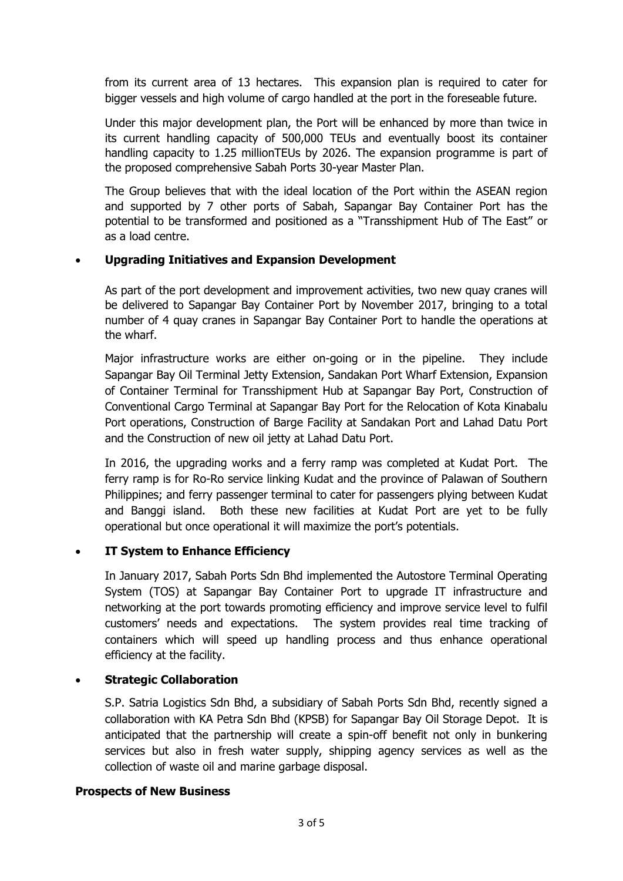from its current area of 13 hectares. This expansion plan is required to cater for bigger vessels and high volume of cargo handled at the port in the foreseable future.

Under this major development plan, the Port will be enhanced by more than twice in its current handling capacity of 500,000 TEUs and eventually boost its container handling capacity to 1.25 millionTEUs by 2026. The expansion programme is part of the proposed comprehensive Sabah Ports 30-year Master Plan.

The Group believes that with the ideal location of the Port within the ASEAN region and supported by 7 other ports of Sabah, Sapangar Bay Container Port has the potential to be transformed and positioned as a "Transshipment Hub of The East" or as a load centre.

#### **Upgrading Initiatives and Expansion Development**

As part of the port development and improvement activities, two new quay cranes will be delivered to Sapangar Bay Container Port by November 2017, bringing to a total number of 4 quay cranes in Sapangar Bay Container Port to handle the operations at the wharf.

Major infrastructure works are either on-going or in the pipeline. They include Sapangar Bay Oil Terminal Jetty Extension, Sandakan Port Wharf Extension, Expansion of Container Terminal for Transshipment Hub at Sapangar Bay Port, Construction of Conventional Cargo Terminal at Sapangar Bay Port for the Relocation of Kota Kinabalu Port operations, Construction of Barge Facility at Sandakan Port and Lahad Datu Port and the Construction of new oil jetty at Lahad Datu Port.

In 2016, the upgrading works and a ferry ramp was completed at Kudat Port. The ferry ramp is for Ro-Ro service linking Kudat and the province of Palawan of Southern Philippines; and ferry passenger terminal to cater for passengers plying between Kudat and Banggi island. Both these new facilities at Kudat Port are yet to be fully operational but once operational it will maximize the port's potentials.

#### **IT System to Enhance Efficiency**

In January 2017, Sabah Ports Sdn Bhd implemented the Autostore Terminal Operating System (TOS) at Sapangar Bay Container Port to upgrade IT infrastructure and networking at the port towards promoting efficiency and improve service level to fulfil customers' needs and expectations. The system provides real time tracking of containers which will speed up handling process and thus enhance operational efficiency at the facility.

#### **Strategic Collaboration**

S.P. Satria Logistics Sdn Bhd, a subsidiary of Sabah Ports Sdn Bhd, recently signed a collaboration with KA Petra Sdn Bhd (KPSB) for Sapangar Bay Oil Storage Depot. It is anticipated that the partnership will create a spin-off benefit not only in bunkering services but also in fresh water supply, shipping agency services as well as the collection of waste oil and marine garbage disposal.

#### **Prospects of New Business**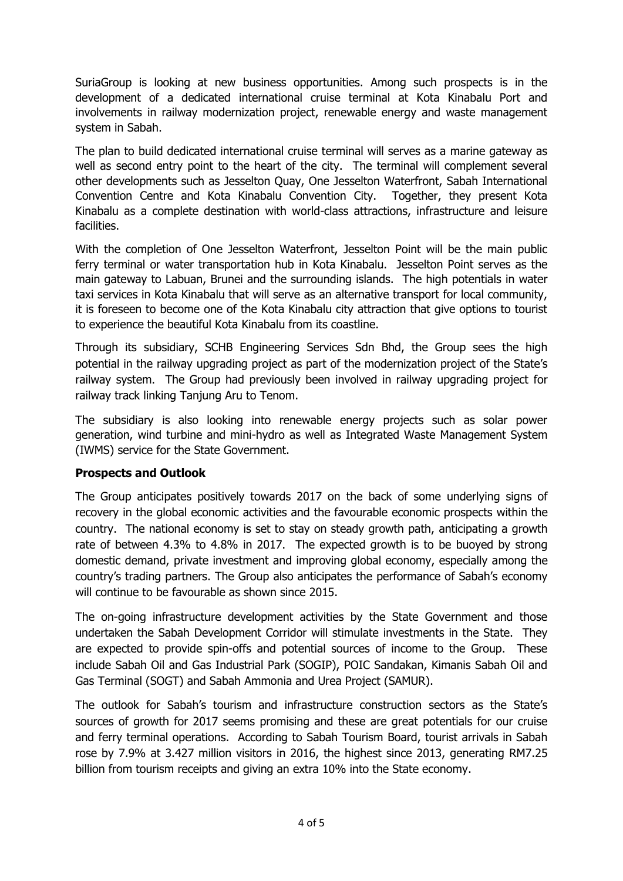SuriaGroup is looking at new business opportunities. Among such prospects is in the development of a dedicated international cruise terminal at Kota Kinabalu Port and involvements in railway modernization project, renewable energy and waste management system in Sabah.

The plan to build dedicated international cruise terminal will serves as a marine gateway as well as second entry point to the heart of the city. The terminal will complement several other developments such as Jesselton Quay, One Jesselton Waterfront, Sabah International Convention Centre and Kota Kinabalu Convention City. Together, they present Kota Kinabalu as a complete destination with world-class attractions, infrastructure and leisure facilities.

With the completion of One Jesselton Waterfront, Jesselton Point will be the main public ferry terminal or water transportation hub in Kota Kinabalu. Jesselton Point serves as the main gateway to Labuan, Brunei and the surrounding islands. The high potentials in water taxi services in Kota Kinabalu that will serve as an alternative transport for local community, it is foreseen to become one of the Kota Kinabalu city attraction that give options to tourist to experience the beautiful Kota Kinabalu from its coastline.

Through its subsidiary, SCHB Engineering Services Sdn Bhd, the Group sees the high potential in the railway upgrading project as part of the modernization project of the State's railway system. The Group had previously been involved in railway upgrading project for railway track linking Tanjung Aru to Tenom.

The subsidiary is also looking into renewable energy projects such as solar power generation, wind turbine and mini-hydro as well as Integrated Waste Management System (IWMS) service for the State Government.

#### **Prospects and Outlook**

The Group anticipates positively towards 2017 on the back of some underlying signs of recovery in the global economic activities and the favourable economic prospects within the country. The national economy is set to stay on steady growth path, anticipating a growth rate of between 4.3% to 4.8% in 2017. The expected growth is to be buoyed by strong domestic demand, private investment and improving global economy, especially among the country's trading partners. The Group also anticipates the performance of Sabah's economy will continue to be favourable as shown since 2015.

The on-going infrastructure development activities by the State Government and those undertaken the Sabah Development Corridor will stimulate investments in the State. They are expected to provide spin-offs and potential sources of income to the Group. These include Sabah Oil and Gas Industrial Park (SOGIP), POIC Sandakan, Kimanis Sabah Oil and Gas Terminal (SOGT) and Sabah Ammonia and Urea Project (SAMUR).

The outlook for Sabah's tourism and infrastructure construction sectors as the State's sources of growth for 2017 seems promising and these are great potentials for our cruise and ferry terminal operations. According to Sabah Tourism Board, tourist arrivals in Sabah rose by 7.9% at 3.427 million visitors in 2016, the highest since 2013, generating RM7.25 billion from tourism receipts and giving an extra 10% into the State economy.